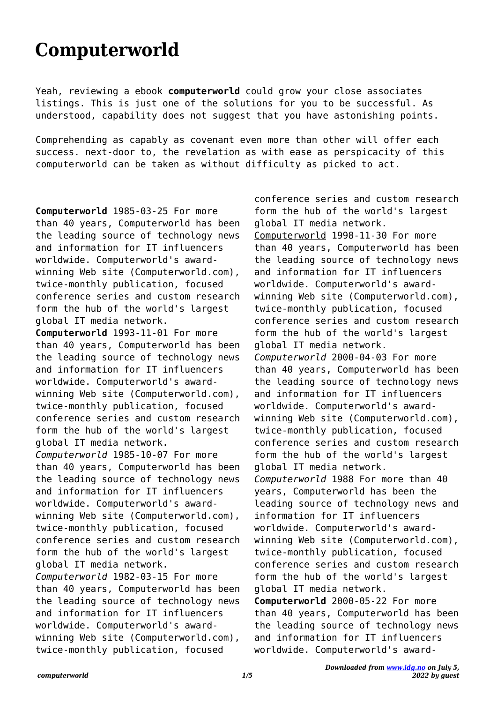## **Computerworld**

Yeah, reviewing a ebook **computerworld** could grow your close associates listings. This is just one of the solutions for you to be successful. As understood, capability does not suggest that you have astonishing points.

Comprehending as capably as covenant even more than other will offer each success. next-door to, the revelation as with ease as perspicacity of this computerworld can be taken as without difficulty as picked to act.

**Computerworld** 1985-03-25 For more than 40 years, Computerworld has been the leading source of technology news and information for IT influencers worldwide. Computerworld's awardwinning Web site (Computerworld.com), twice-monthly publication, focused conference series and custom research form the hub of the world's largest global IT media network. **Computerworld** 1993-11-01 For more than 40 years, Computerworld has been the leading source of technology news and information for IT influencers worldwide. Computerworld's awardwinning Web site (Computerworld.com), twice-monthly publication, focused conference series and custom research form the hub of the world's largest global IT media network. *Computerworld* 1985-10-07 For more than 40 years, Computerworld has been the leading source of technology news and information for IT influencers worldwide. Computerworld's awardwinning Web site (Computerworld.com), twice-monthly publication, focused conference series and custom research form the hub of the world's largest global IT media network. *Computerworld* 1982-03-15 For more than 40 years, Computerworld has been the leading source of technology news and information for IT influencers worldwide. Computerworld's awardwinning Web site (Computerworld.com), twice-monthly publication, focused

conference series and custom research form the hub of the world's largest global IT media network. Computerworld 1998-11-30 For more than 40 years, Computerworld has been the leading source of technology news and information for IT influencers worldwide. Computerworld's awardwinning Web site (Computerworld.com), twice-monthly publication, focused conference series and custom research form the hub of the world's largest global IT media network. *Computerworld* 2000-04-03 For more than 40 years, Computerworld has been the leading source of technology news and information for IT influencers worldwide. Computerworld's awardwinning Web site (Computerworld.com), twice-monthly publication, focused conference series and custom research form the hub of the world's largest global IT media network. *Computerworld* 1988 For more than 40 years, Computerworld has been the leading source of technology news and information for IT influencers worldwide. Computerworld's awardwinning Web site (Computerworld.com), twice-monthly publication, focused conference series and custom research form the hub of the world's largest global IT media network. **Computerworld** 2000-05-22 For more than 40 years, Computerworld has been the leading source of technology news and information for IT influencers worldwide. Computerworld's award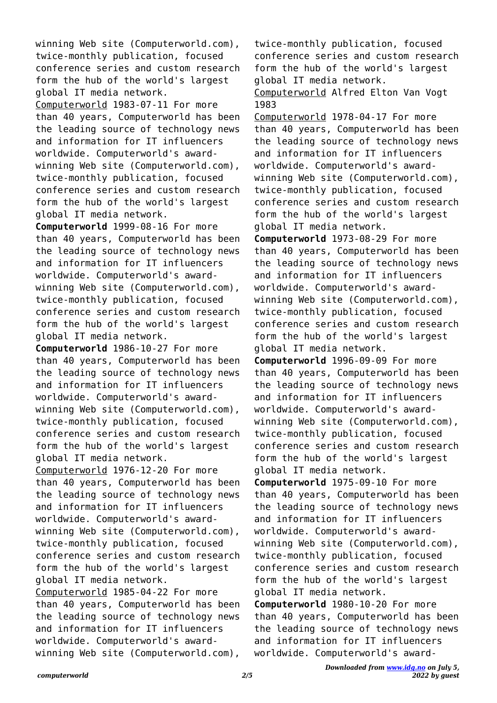winning Web site (Computerworld.com), twice-monthly publication, focused conference series and custom research form the hub of the world's largest global IT media network. Computerworld 1983-07-11 For more than 40 years, Computerworld has been the leading source of technology news and information for IT influencers worldwide. Computerworld's awardwinning Web site (Computerworld.com), twice-monthly publication, focused conference series and custom research form the hub of the world's largest global IT media network.

**Computerworld** 1999-08-16 For more than 40 years, Computerworld has been the leading source of technology news and information for IT influencers worldwide. Computerworld's awardwinning Web site (Computerworld.com), twice-monthly publication, focused conference series and custom research form the hub of the world's largest global IT media network.

**Computerworld** 1986-10-27 For more than 40 years, Computerworld has been the leading source of technology news and information for IT influencers worldwide. Computerworld's awardwinning Web site (Computerworld.com), twice-monthly publication, focused conference series and custom research form the hub of the world's largest global IT media network. Computerworld 1976-12-20 For more than 40 years, Computerworld has been the leading source of technology news and information for IT influencers worldwide. Computerworld's awardwinning Web site (Computerworld.com), twice-monthly publication, focused conference series and custom research form the hub of the world's largest global IT media network. Computerworld 1985-04-22 For more than 40 years, Computerworld has been the leading source of technology news and information for IT influencers worldwide. Computerworld's awardwinning Web site (Computerworld.com),

twice-monthly publication, focused conference series and custom research form the hub of the world's largest global IT media network.

Computerworld Alfred Elton Van Vogt 1983

Computerworld 1978-04-17 For more than 40 years, Computerworld has been the leading source of technology news and information for IT influencers worldwide. Computerworld's awardwinning Web site (Computerworld.com), twice-monthly publication, focused conference series and custom research form the hub of the world's largest global IT media network.

**Computerworld** 1973-08-29 For more than 40 years, Computerworld has been the leading source of technology news and information for IT influencers worldwide. Computerworld's awardwinning Web site (Computerworld.com), twice-monthly publication, focused conference series and custom research form the hub of the world's largest global IT media network.

**Computerworld** 1996-09-09 For more than 40 years, Computerworld has been the leading source of technology news and information for IT influencers worldwide. Computerworld's awardwinning Web site (Computerworld.com), twice-monthly publication, focused conference series and custom research form the hub of the world's largest global IT media network.

**Computerworld** 1975-09-10 For more than 40 years, Computerworld has been the leading source of technology news and information for IT influencers worldwide. Computerworld's awardwinning Web site (Computerworld.com), twice-monthly publication, focused conference series and custom research form the hub of the world's largest global IT media network.

**Computerworld** 1980-10-20 For more than 40 years, Computerworld has been the leading source of technology news and information for IT influencers worldwide. Computerworld's award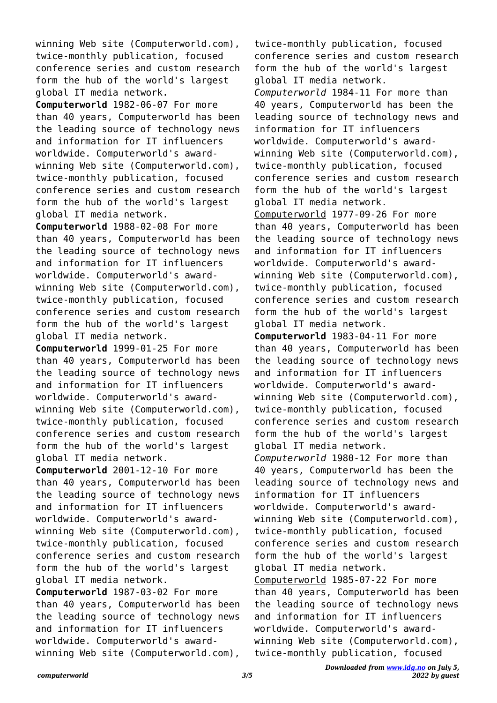winning Web site (Computerworld.com), twice-monthly publication, focused conference series and custom research form the hub of the world's largest global IT media network.

**Computerworld** 1982-06-07 For more than 40 years, Computerworld has been the leading source of technology news and information for IT influencers worldwide. Computerworld's awardwinning Web site (Computerworld.com), twice-monthly publication, focused conference series and custom research form the hub of the world's largest global IT media network.

**Computerworld** 1988-02-08 For more than 40 years, Computerworld has been the leading source of technology news and information for IT influencers worldwide. Computerworld's awardwinning Web site (Computerworld.com), twice-monthly publication, focused conference series and custom research form the hub of the world's largest global IT media network.

**Computerworld** 1999-01-25 For more than 40 years, Computerworld has been the leading source of technology news and information for IT influencers worldwide. Computerworld's awardwinning Web site (Computerworld.com), twice-monthly publication, focused conference series and custom research form the hub of the world's largest global IT media network.

**Computerworld** 2001-12-10 For more than 40 years, Computerworld has been the leading source of technology news and information for IT influencers worldwide. Computerworld's awardwinning Web site (Computerworld.com), twice-monthly publication, focused conference series and custom research form the hub of the world's largest global IT media network.

**Computerworld** 1987-03-02 For more than 40 years, Computerworld has been the leading source of technology news and information for IT influencers worldwide. Computerworld's awardwinning Web site (Computerworld.com),

twice-monthly publication, focused conference series and custom research form the hub of the world's largest global IT media network. *Computerworld* 1984-11 For more than 40 years, Computerworld has been the leading source of technology news and information for IT influencers worldwide. Computerworld's awardwinning Web site (Computerworld.com), twice-monthly publication, focused conference series and custom research form the hub of the world's largest global IT media network. Computerworld 1977-09-26 For more than 40 years, Computerworld has been the leading source of technology news and information for IT influencers worldwide. Computerworld's awardwinning Web site (Computerworld.com), twice-monthly publication, focused conference series and custom research form the hub of the world's largest global IT media network. **Computerworld** 1983-04-11 For more than 40 years, Computerworld has been the leading source of technology news and information for IT influencers worldwide. Computerworld's awardwinning Web site (Computerworld.com), twice-monthly publication, focused conference series and custom research form the hub of the world's largest global IT media network. *Computerworld* 1980-12 For more than 40 years, Computerworld has been the leading source of technology news and information for IT influencers worldwide. Computerworld's awardwinning Web site (Computerworld.com), twice-monthly publication, focused conference series and custom research form the hub of the world's largest global IT media network. Computerworld 1985-07-22 For more than 40 years, Computerworld has been the leading source of technology news and information for IT influencers worldwide. Computerworld's award-

winning Web site (Computerworld.com), twice-monthly publication, focused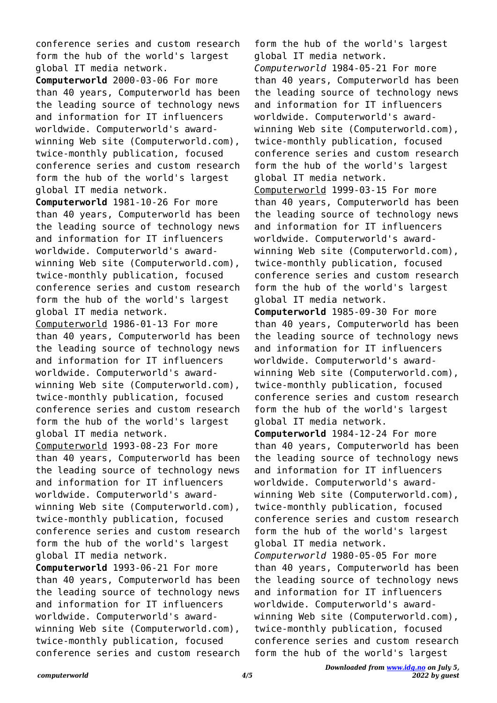conference series and custom research form the hub of the world's largest global IT media network.

**Computerworld** 2000-03-06 For more than 40 years, Computerworld has been the leading source of technology news and information for IT influencers worldwide. Computerworld's awardwinning Web site (Computerworld.com), twice-monthly publication, focused conference series and custom research form the hub of the world's largest global IT media network.

**Computerworld** 1981-10-26 For more than 40 years, Computerworld has been the leading source of technology news and information for IT influencers worldwide. Computerworld's awardwinning Web site (Computerworld.com), twice-monthly publication, focused conference series and custom research form the hub of the world's largest global IT media network. Computerworld 1986-01-13 For more than 40 years, Computerworld has been the leading source of technology news and information for IT influencers worldwide. Computerworld's awardwinning Web site (Computerworld.com), twice-monthly publication, focused conference series and custom research form the hub of the world's largest global IT media network. Computerworld 1993-08-23 For more than 40 years, Computerworld has been the leading source of technology news and information for IT influencers worldwide. Computerworld's awardwinning Web site (Computerworld.com), twice-monthly publication, focused conference series and custom research form the hub of the world's largest global IT media network.

**Computerworld** 1993-06-21 For more than 40 years, Computerworld has been the leading source of technology news and information for IT influencers worldwide. Computerworld's awardwinning Web site (Computerworld.com), twice-monthly publication, focused conference series and custom research

form the hub of the world's largest global IT media network. *Computerworld* 1984-05-21 For more than 40 years, Computerworld has been the leading source of technology news and information for IT influencers worldwide. Computerworld's awardwinning Web site (Computerworld.com), twice-monthly publication, focused conference series and custom research form the hub of the world's largest global IT media network. Computerworld 1999-03-15 For more than 40 years, Computerworld has been the leading source of technology news and information for IT influencers worldwide. Computerworld's awardwinning Web site (Computerworld.com), twice-monthly publication, focused conference series and custom research form the hub of the world's largest global IT media network.

**Computerworld** 1985-09-30 For more than 40 years, Computerworld has been the leading source of technology news and information for IT influencers worldwide. Computerworld's awardwinning Web site (Computerworld.com), twice-monthly publication, focused conference series and custom research form the hub of the world's largest global IT media network.

**Computerworld** 1984-12-24 For more than 40 years, Computerworld has been the leading source of technology news and information for IT influencers worldwide. Computerworld's awardwinning Web site (Computerworld.com), twice-monthly publication, focused conference series and custom research form the hub of the world's largest global IT media network.

*Computerworld* 1980-05-05 For more than 40 years, Computerworld has been the leading source of technology news and information for IT influencers worldwide. Computerworld's awardwinning Web site (Computerworld.com), twice-monthly publication, focused conference series and custom research form the hub of the world's largest